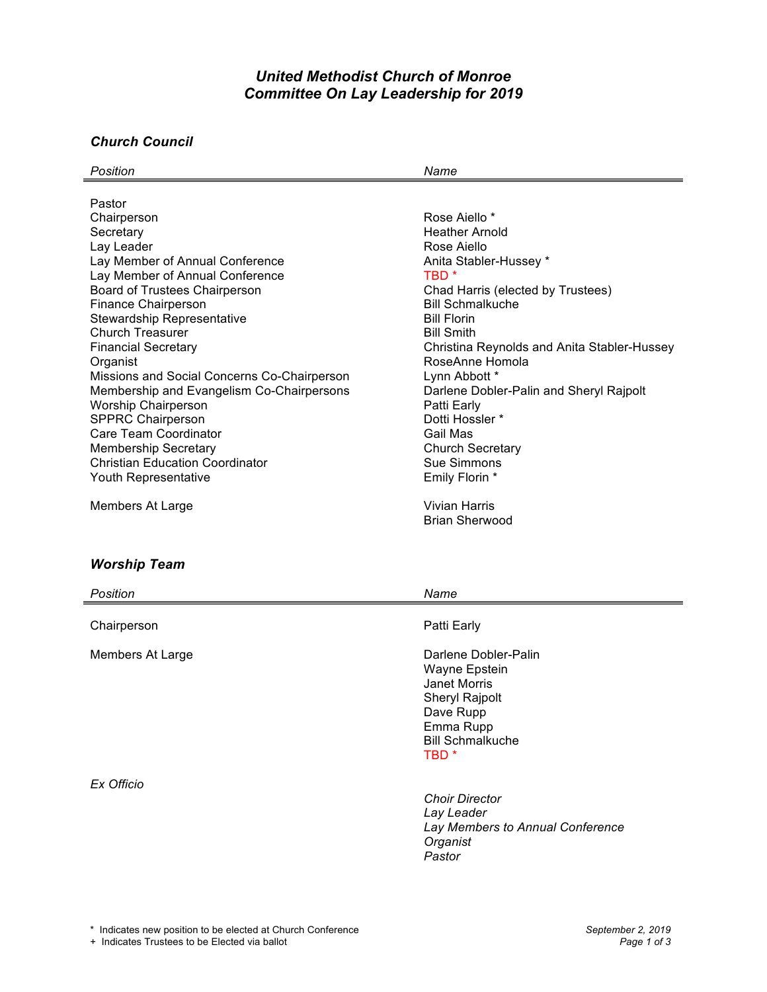# *United Methodist Church of Monroe Committee On Lay Leadership for 2019*

#### *Church Council*

| Position                                    | Name                                        |
|---------------------------------------------|---------------------------------------------|
|                                             |                                             |
| Pastor                                      |                                             |
| Chairperson                                 | Rose Aiello *                               |
| Secretary                                   | <b>Heather Arnold</b>                       |
| Lay Leader                                  | Rose Aiello                                 |
| Lay Member of Annual Conference             | Anita Stabler-Hussey *                      |
| Lay Member of Annual Conference             | TBD *                                       |
| Board of Trustees Chairperson               | Chad Harris (elected by Trustees)           |
| <b>Finance Chairperson</b>                  | <b>Bill Schmalkuche</b>                     |
| Stewardship Representative                  | <b>Bill Florin</b>                          |
| Church Treasurer                            | <b>Bill Smith</b>                           |
| <b>Financial Secretary</b>                  | Christina Reynolds and Anita Stabler-Hussey |
| Organist                                    | RoseAnne Homola                             |
| Missions and Social Concerns Co-Chairperson | Lynn Abbott *                               |
| Membership and Evangelism Co-Chairpersons   | Darlene Dobler-Palin and Sheryl Rajpolt     |
| <b>Worship Chairperson</b>                  | Patti Early                                 |
| <b>SPPRC Chairperson</b>                    | Dotti Hossler *                             |
| Care Team Coordinator                       | Gail Mas                                    |
| <b>Membership Secretary</b>                 | <b>Church Secretary</b>                     |
| <b>Christian Education Coordinator</b>      | Sue Simmons                                 |
| Youth Representative                        | Emily Florin *                              |
| Members At Large                            | Vivian Harris                               |
|                                             | <b>Brian Sherwood</b>                       |

## *Worship Team*

| Position         | Name                                                                                                                                             |
|------------------|--------------------------------------------------------------------------------------------------------------------------------------------------|
| Chairperson      | Patti Early                                                                                                                                      |
| Members At Large | Darlene Dobler-Palin<br>Wayne Epstein<br>Janet Morris<br>Sheryl Rajpolt<br>Dave Rupp<br>Emma Rupp<br><b>Bill Schmalkuche</b><br>TBD <sup>*</sup> |
| Ex Officio       | <b>Choir Director</b><br>Lay Leader<br>Lay Members to Annual Conference<br>Organist<br>Pastor                                                    |

+ Indicates Trustees to be Elected via ballot *Page 1 of 3*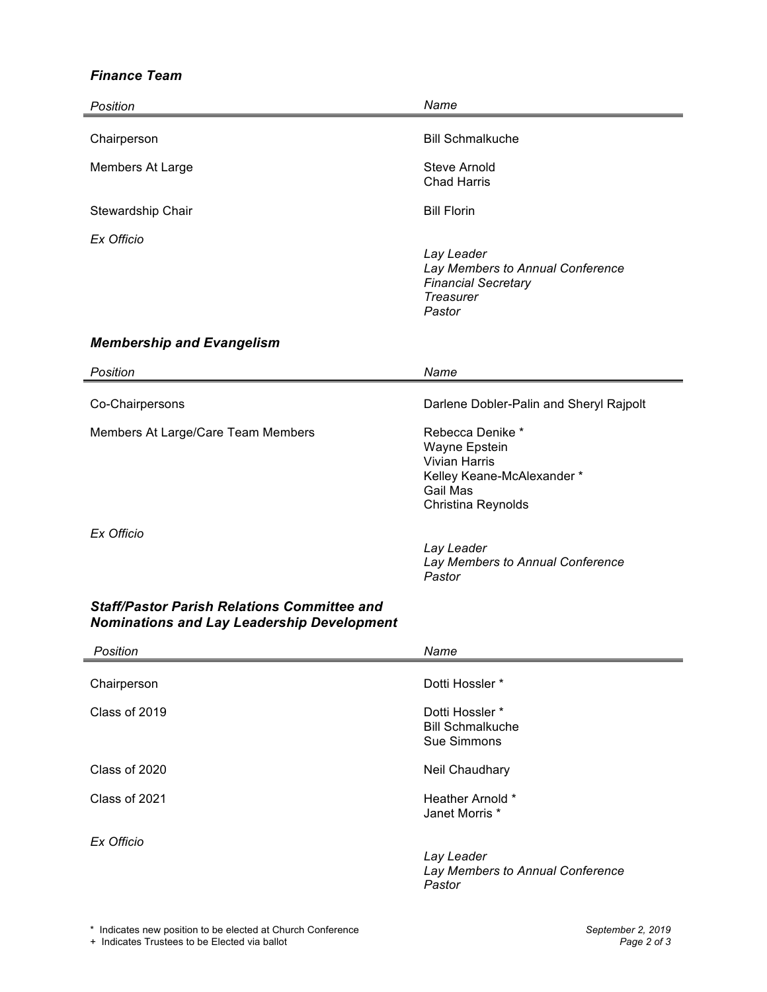### *Finance Team*

| Position                                                                                                | Name                                                                                                                     |
|---------------------------------------------------------------------------------------------------------|--------------------------------------------------------------------------------------------------------------------------|
| Chairperson                                                                                             | <b>Bill Schmalkuche</b>                                                                                                  |
| Members At Large                                                                                        | <b>Steve Arnold</b><br><b>Chad Harris</b>                                                                                |
| Stewardship Chair                                                                                       | <b>Bill Florin</b>                                                                                                       |
| Ex Officio                                                                                              | Lay Leader<br>Lay Members to Annual Conference<br><b>Financial Secretary</b><br>Treasurer<br>Pastor                      |
| <b>Membership and Evangelism</b>                                                                        |                                                                                                                          |
| Position                                                                                                | Name                                                                                                                     |
| Co-Chairpersons                                                                                         | Darlene Dobler-Palin and Sheryl Rajpolt                                                                                  |
| Members At Large/Care Team Members                                                                      | Rebecca Denike *<br>Wayne Epstein<br><b>Vivian Harris</b><br>Kelley Keane-McAlexander*<br>Gail Mas<br>Christina Reynolds |
| Ex Officio                                                                                              | Lay Leader<br>Lay Members to Annual Conference<br>Pastor                                                                 |
| <b>Staff/Pastor Parish Relations Committee and</b><br><b>Nominations and Lay Leadership Development</b> |                                                                                                                          |
| Position                                                                                                | Name                                                                                                                     |
| Chairperson                                                                                             | Dotti Hossler *                                                                                                          |
| Class of 2019                                                                                           | Dotti Hossler *<br><b>Bill Schmalkuche</b><br>Sue Simmons                                                                |
| Class of 2020                                                                                           | Neil Chaudhary                                                                                                           |
| Class of 2021                                                                                           | Heather Arnold *<br>Janet Morris *                                                                                       |
| Ex Officio                                                                                              | Lay Leader<br>Lay Members to Annual Conference<br>Pastor                                                                 |

+ Indicates Trustees to be Elected via ballot *Page 2 of 3*